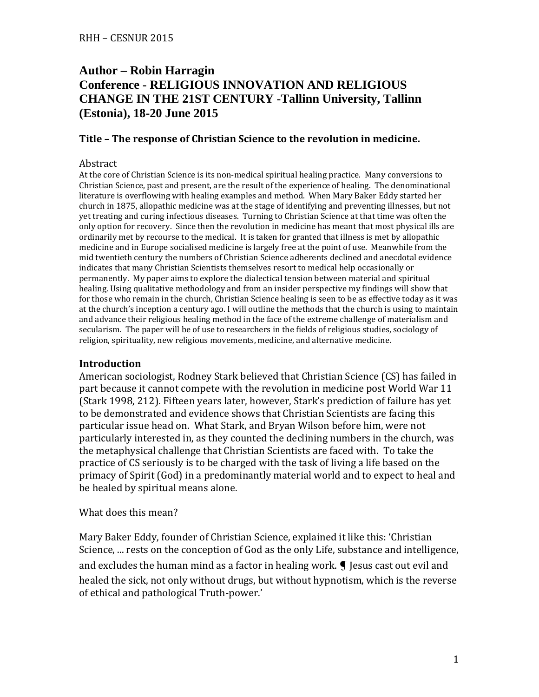# **Author – Robin Harragin Conference - RELIGIOUS INNOVATION AND RELIGIOUS CHANGE IN THE 21ST CENTURY -Tallinn University, Tallinn (Estonia), 18-20 June 2015**

#### **Title – The response of Christian Science to the revolution in medicine.**

#### Abstract

At the core of Christian Science is its non-medical spiritual healing practice. Many conversions to Christian Science, past and present, are the result of the experience of healing. The denominational literature is overflowing with healing examples and method. When Mary Baker Eddy started her church in 1875, allopathic medicine was at the stage of identifying and preventing illnesses, but not yet treating and curing infectious diseases. Turning to Christian Science at that time was often the only option for recovery. Since then the revolution in medicine has meant that most physical ills are ordinarily met by recourse to the medical. It is taken for granted that illness is met by allopathic medicine and in Europe socialised medicine is largely free at the point of use. Meanwhile from the mid twentieth century the numbers of Christian Science adherents declined and anecdotal evidence indicates that many Christian Scientists themselves resort to medical help occasionally or permanently. My paper aims to explore the dialectical tension between material and spiritual healing. Using qualitative methodology and from an insider perspective my findings will show that for those who remain in the church, Christian Science healing is seen to be as effective today as it was at the church's inception a century ago. I will outline the methods that the church is using to maintain and advance their religious healing method in the face of the extreme challenge of materialism and secularism. The paper will be of use to researchers in the fields of religious studies, sociology of religion, spirituality, new religious movements, medicine, and alternative medicine.

#### **Introduction**

American sociologist, Rodney Stark believed that Christian Science (CS) has failed in part because it cannot compete with the revolution in medicine post World War 11 (Stark 1998, 212). Fifteen years later, however, Stark's prediction of failure has yet to be demonstrated and evidence shows that Christian Scientists are facing this particular issue head on. What Stark, and Bryan Wilson before him, were not particularly interested in, as they counted the declining numbers in the church, was the metaphysical challenge that Christian Scientists are faced with. To take the practice of CS seriously is to be charged with the task of living a life based on the primacy of Spirit (God) in a predominantly material world and to expect to heal and be healed by spiritual means alone.

#### What does this mean?

Mary Baker Eddy, founder of Christian Science, explained it like this: 'Christian Science, ... rests on the conception of God as the only Life, substance and intelligence, and excludes the human mind as a factor in healing work.  $\blacksquare$  Jesus cast out evil and healed the sick, not only without drugs, but without hypnotism, which is the reverse of ethical and pathological Truth-power.'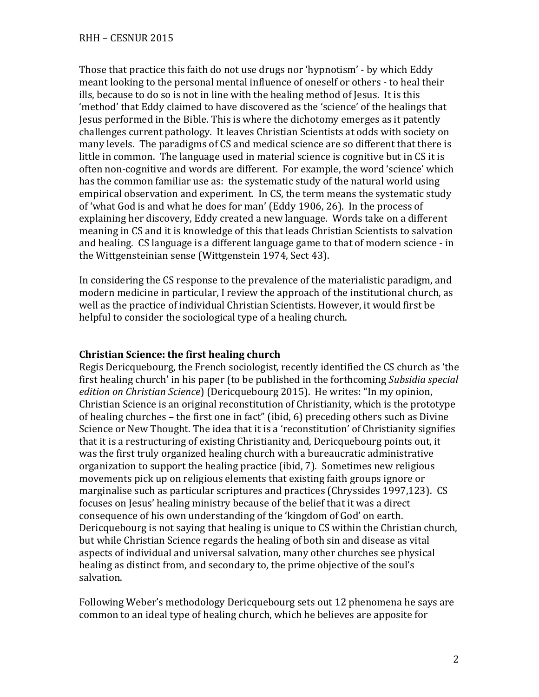Those that practice this faith do not use drugs nor 'hypnotism' - by which Eddy meant looking to the personal mental influence of oneself or others - to heal their ills, because to do so is not in line with the healing method of Jesus. It is this 'method' that Eddy claimed to have discovered as the 'science' of the healings that Jesus performed in the Bible. This is where the dichotomy emerges as it patently challenges current pathology. It leaves Christian Scientists at odds with society on many levels. The paradigms of CS and medical science are so different that there is little in common. The language used in material science is cognitive but in CS it is often non-cognitive and words are different. For example, the word 'science' which has the common familiar use as: the systematic study of the natural world using empirical observation and experiment. In CS, the term means the systematic study of 'what God is and what he does for man' (Eddy 1906, 26). In the process of explaining her discovery, Eddy created a new language. Words take on a different meaning in CS and it is knowledge of this that leads Christian Scientists to salvation and healing. CS language is a different language game to that of modern science - in the Wittgensteinian sense (Wittgenstein 1974, Sect 43).

In considering the CS response to the prevalence of the materialistic paradigm, and modern medicine in particular, I review the approach of the institutional church, as well as the practice of individual Christian Scientists. However, it would first be helpful to consider the sociological type of a healing church.

# **Christian Science: the first healing church**

Regis Dericquebourg, the French sociologist, recently identified the CS church as 'the first healing church' in his paper (to be published in the forthcoming *Subsidia special edition on Christian Science*) (Dericquebourg 2015). He writes: "In my opinion, Christian Science is an original reconstitution of Christianity, which is the prototype of healing churches – the first one in fact" (ibid, 6) preceding others such as Divine Science or New Thought. The idea that it is a 'reconstitution' of Christianity signifies that it is a restructuring of existing Christianity and, Dericquebourg points out, it was the first truly organized healing church with a bureaucratic administrative organization to support the healing practice (ibid, 7). Sometimes new religious movements pick up on religious elements that existing faith groups ignore or marginalise such as particular scriptures and practices (Chryssides 1997,123). CS focuses on Jesus' healing ministry because of the belief that it was a direct consequence of his own understanding of the 'kingdom of God' on earth. Dericquebourg is not saying that healing is unique to CS within the Christian church, but while Christian Science regards the healing of both sin and disease as vital aspects of individual and universal salvation, many other churches see physical healing as distinct from, and secondary to, the prime objective of the soul's salvation.

Following Weber's methodology Dericquebourg sets out 12 phenomena he says are common to an ideal type of healing church, which he believes are apposite for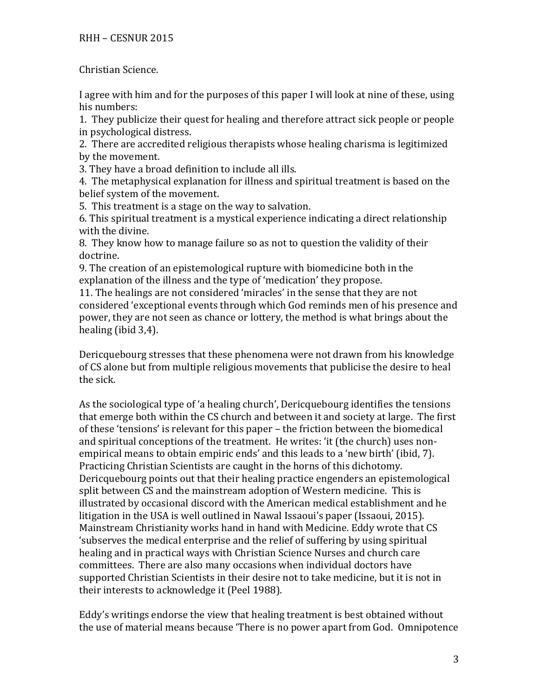Christian Science.

I agree with him and for the purposes of this paper I will look at nine of these, using his numbers:

1. They publicize their quest for healing and therefore attract sick people or people in psychological distress.

2. There are accredited religious therapists whose healing charisma is legitimized by the movement.

3. They have a broad definition to include all ills.

4. The metaphysical explanation for illness and spiritual treatment is based on the belief system of the movement.

5. This treatment is a stage on the way to salvation.

6. This spiritual treatment is a mystical experience indicating a direct relationship with the divine.

8. They know how to manage failure so as not to question the validity of their doctrine.

9. The creation of an epistemological rupture with biomedicine both in the explanation of the illness and the type of 'medication' they propose.

11. The healings are not considered 'miracles' in the sense that they are not considered 'exceptional events through which God reminds men of his presence and power, they are not seen as chance or lottery, the method is what brings about the healing (ibid 3,4).

Dericquebourg stresses that these phenomena were not drawn from his knowledge of CS alone but from multiple religious movements that publicise the desire to heal the sick.

As the sociological type of 'a healing church', Dericquebourg identifies the tensions that emerge both within the CS church and between it and society at large. The first of these 'tensions' is relevant for this paper – the friction between the biomedical and spiritual conceptions of the treatment. He writes: 'it (the church) uses nonempirical means to obtain empiric ends' and this leads to a 'new birth' (ibid, 7). Practicing Christian Scientists are caught in the horns of this dichotomy. Dericquebourg points out that their healing practice engenders an epistemological split between CS and the mainstream adoption of Western medicine. This is illustrated by occasional discord with the American medical establishment and he litigation in the USA is well outlined in Nawal Issaoui's paper (Issaoui, 2015). Mainstream Christianity works hand in hand with Medicine. Eddy wrote that CS 'subserves the medical enterprise and the relief of suffering by using spiritual healing and in practical ways with Christian Science Nurses and church care committees. There are also many occasions when individual doctors have supported Christian Scientists in their desire not to take medicine, but it is not in their interests to acknowledge it (Peel 1988).

Eddy's writings endorse the view that healing treatment is best obtained without the use of material means because 'There is no power apart from God. Omnipotence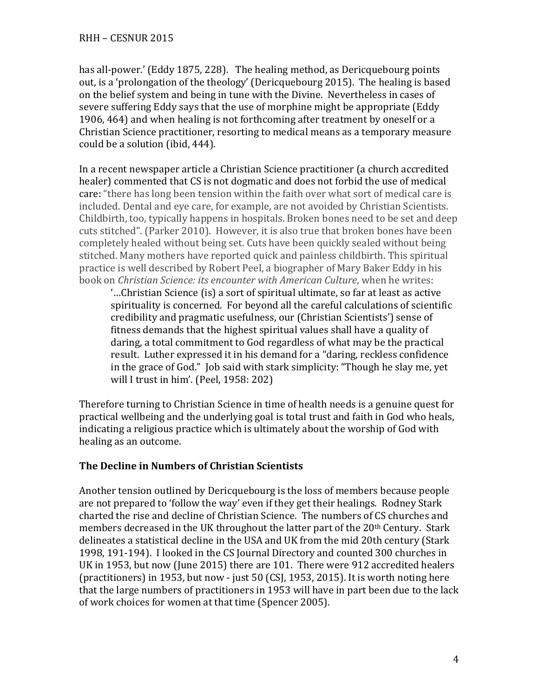has all-power.' (Eddy 1875, 228). The healing method, as Dericquebourg points out, is a 'prolongation of the theology' (Dericquebourg 2015). The healing is based on the belief system and being in tune with the Divine. Nevertheless in cases of severe suffering Eddy says that the use of morphine might be appropriate (Eddy 1906, 464) and when healing is not forthcoming after treatment by oneself or a Christian Science practitioner, resorting to medical means as a temporary measure could be a solution (ibid, 444).

In a recent newspaper article a Christian Science practitioner (a church accredited healer) commented that CS is not dogmatic and does not forbid the use of medical care: "there has long been tension within the faith over what sort of medical care is included. Dental and eye care, for example, are not avoided by Christian Scientists. Childbirth, too, typically happens in hospitals. Broken bones need to be set and deep cuts stitched". (Parker 2010). However, it is also true that broken bones have been completely healed without being set. Cuts have been quickly sealed without being stitched. Many mothers have reported quick and painless childbirth. This spiritual practice is well described by Robert Peel, a biographer of Mary Baker Eddy in his book on *Christian Science: its encounter with American Culture*, when he writes:

'…Christian Science (is) a sort of spiritual ultimate, so far at least as active spirituality is concerned. For beyond all the careful calculations of scientific credibility and pragmatic usefulness, our (Christian Scientists') sense of fitness demands that the highest spiritual values shall have a quality of daring, a total commitment to God regardless of what may be the practical result. Luther expressed it in his demand for a "daring, reckless confidence in the grace of God." Job said with stark simplicity: "Though he slay me, yet will I trust in him'. (Peel, 1958: 202)

Therefore turning to Christian Science in time of health needs is a genuine quest for practical wellbeing and the underlying goal is total trust and faith in God who heals, indicating a religious practice which is ultimately about the worship of God with healing as an outcome.

## **The Decline in Numbers of Christian Scientists**

Another tension outlined by Dericquebourg is the loss of members because people are not prepared to 'follow the way' even if they get their healings. Rodney Stark charted the rise and decline of Christian Science. The numbers of CS churches and members decreased in the UK throughout the latter part of the 20th Century. Stark delineates a statistical decline in the USA and UK from the mid 20th century (Stark 1998, 191-194). I looked in the CS Journal Directory and counted 300 churches in UK in 1953, but now (June 2015) there are 101. There were 912 accredited healers (practitioners) in 1953, but now - just 50 (CSJ, 1953, 2015). It is worth noting here that the large numbers of practitioners in 1953 will have in part been due to the lack of work choices for women at that time (Spencer 2005).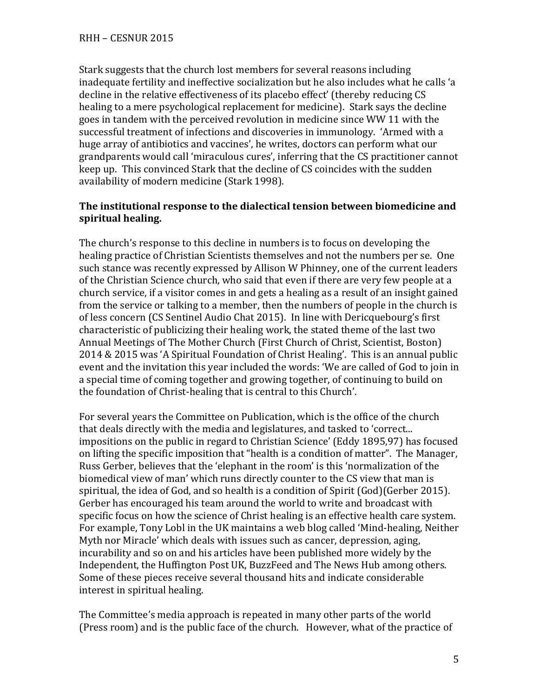Stark suggests that the church lost members for several reasons including inadequate fertility and ineffective socialization but he also includes what he calls 'a decline in the relative effectiveness of its placebo effect' (thereby reducing CS healing to a mere psychological replacement for medicine). Stark says the decline goes in tandem with the perceived revolution in medicine since WW 11 with the successful treatment of infections and discoveries in immunology. 'Armed with a huge array of antibiotics and vaccines', he writes, doctors can perform what our grandparents would call 'miraculous cures', inferring that the CS practitioner cannot keep up. This convinced Stark that the decline of CS coincides with the sudden availability of modern medicine (Stark 1998).

## **The institutional response to the dialectical tension between biomedicine and spiritual healing.**

The church's response to this decline in numbers is to focus on developing the healing practice of Christian Scientists themselves and not the numbers per se. One such stance was recently expressed by Allison W Phinney, one of the current leaders of the Christian Science church, who said that even if there are very few people at a church service, if a visitor comes in and gets a healing as a result of an insight gained from the service or talking to a member, then the numbers of people in the church is of less concern (CS Sentinel Audio Chat 2015). In line with Dericquebourg's first characteristic of publicizing their healing work, the stated theme of the last two Annual Meetings of The Mother Church (First Church of Christ, Scientist, Boston) 2014 & 2015 was 'A Spiritual Foundation of Christ Healing'. This is an annual public event and the invitation this year included the words: 'We are called of God to join in a special time of coming together and growing together, of continuing to build on the foundation of Christ-healing that is central to this Church'.

For several years the Committee on Publication, which is the office of the church that deals directly with the media and legislatures, and tasked to 'correct... impositions on the public in regard to Christian Science' (Eddy 1895,97) has focused on lifting the specific imposition that "health is a condition of matter". The Manager, Russ Gerber, believes that the 'elephant in the room' is this 'normalization of the biomedical view of man' which runs directly counter to the CS view that man is spiritual, the idea of God, and so health is a condition of Spirit (God)(Gerber 2015). Gerber has encouraged his team around the world to write and broadcast with specific focus on how the science of Christ healing is an effective health care system. For example, Tony Lobl in the UK maintains a web blog called 'Mind-healing, Neither Myth nor Miracle' which deals with issues such as cancer, depression, aging, incurability and so on and his articles have been published more widely by the Independent, the Huffington Post UK, BuzzFeed and The News Hub among others. Some of these pieces receive several thousand hits and indicate considerable interest in spiritual healing.

The Committee's media approach is repeated in many other parts of the world (Press room) and is the public face of the church. However, what of the practice of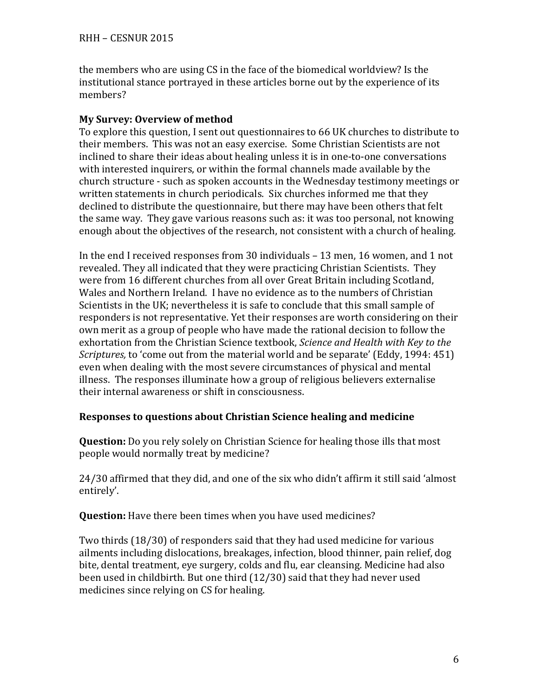the members who are using CS in the face of the biomedical worldview? Is the institutional stance portrayed in these articles borne out by the experience of its members?

### **My Survey: Overview of method**

To explore this question, I sent out questionnaires to 66 UK churches to distribute to their members. This was not an easy exercise. Some Christian Scientists are not inclined to share their ideas about healing unless it is in one-to-one conversations with interested inquirers, or within the formal channels made available by the church structure - such as spoken accounts in the Wednesday testimony meetings or written statements in church periodicals. Six churches informed me that they declined to distribute the questionnaire, but there may have been others that felt the same way. They gave various reasons such as: it was too personal, not knowing enough about the objectives of the research, not consistent with a church of healing.

In the end I received responses from 30 individuals – 13 men, 16 women, and 1 not revealed. They all indicated that they were practicing Christian Scientists. They were from 16 different churches from all over Great Britain including Scotland, Wales and Northern Ireland. I have no evidence as to the numbers of Christian Scientists in the UK; nevertheless it is safe to conclude that this small sample of responders is not representative. Yet their responses are worth considering on their own merit as a group of people who have made the rational decision to follow the exhortation from the Christian Science textbook, *Science and Health with Key to the Scriptures,* to 'come out from the material world and be separate' (Eddy, 1994: 451) even when dealing with the most severe circumstances of physical and mental illness. The responses illuminate how a group of religious believers externalise their internal awareness or shift in consciousness.

### **Responses to questions about Christian Science healing and medicine**

**Question:** Do you rely solely on Christian Science for healing those ills that most people would normally treat by medicine?

24/30 affirmed that they did, and one of the six who didn't affirm it still said 'almost entirely'.

**Question:** Have there been times when you have used medicines?

Two thirds (18/30) of responders said that they had used medicine for various ailments including dislocations, breakages, infection, blood thinner, pain relief, dog bite, dental treatment, eye surgery, colds and flu, ear cleansing. Medicine had also been used in childbirth. But one third (12/30) said that they had never used medicines since relying on CS for healing.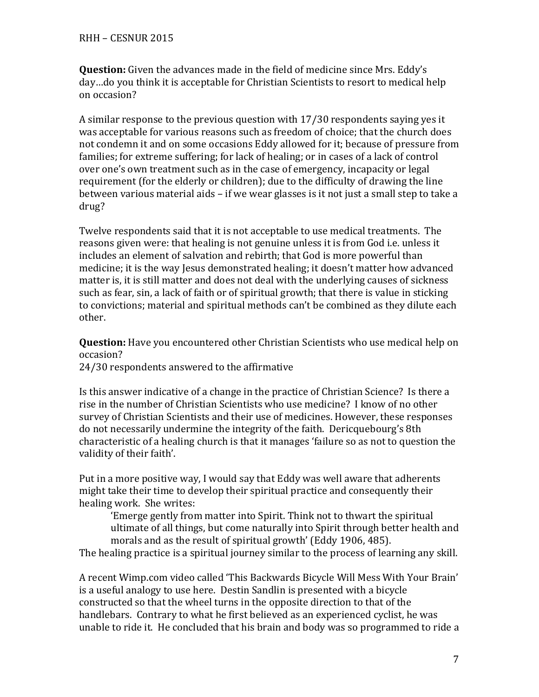**Question:** Given the advances made in the field of medicine since Mrs. Eddy's day…do you think it is acceptable for Christian Scientists to resort to medical help on occasion?

A similar response to the previous question with 17/30 respondents saying yes it was acceptable for various reasons such as freedom of choice; that the church does not condemn it and on some occasions Eddy allowed for it; because of pressure from families; for extreme suffering; for lack of healing; or in cases of a lack of control over one's own treatment such as in the case of emergency, incapacity or legal requirement (for the elderly or children); due to the difficulty of drawing the line between various material aids – if we wear glasses is it not just a small step to take a drug?

Twelve respondents said that it is not acceptable to use medical treatments. The reasons given were: that healing is not genuine unless it is from God i.e. unless it includes an element of salvation and rebirth; that God is more powerful than medicine; it is the way Jesus demonstrated healing; it doesn't matter how advanced matter is, it is still matter and does not deal with the underlying causes of sickness such as fear, sin, a lack of faith or of spiritual growth; that there is value in sticking to convictions; material and spiritual methods can't be combined as they dilute each other.

**Question:** Have you encountered other Christian Scientists who use medical help on occasion?

24/30 respondents answered to the affirmative

Is this answer indicative of a change in the practice of Christian Science? Is there a rise in the number of Christian Scientists who use medicine? I know of no other survey of Christian Scientists and their use of medicines. However, these responses do not necessarily undermine the integrity of the faith. Dericquebourg's 8th characteristic of a healing church is that it manages 'failure so as not to question the validity of their faith'.

Put in a more positive way, I would say that Eddy was well aware that adherents might take their time to develop their spiritual practice and consequently their healing work. She writes:

'Emerge gently from matter into Spirit. Think not to thwart the spiritual ultimate of all things, but come naturally into Spirit through better health and morals and as the result of spiritual growth' (Eddy 1906, 485).

The healing practice is a spiritual journey similar to the process of learning any skill.

A recent Wimp.com video called 'This Backwards Bicycle Will Mess With Your Brain' is a useful analogy to use here. Destin Sandlin is presented with a bicycle constructed so that the wheel turns in the opposite direction to that of the handlebars. Contrary to what he first believed as an experienced cyclist, he was unable to ride it. He concluded that his brain and body was so programmed to ride a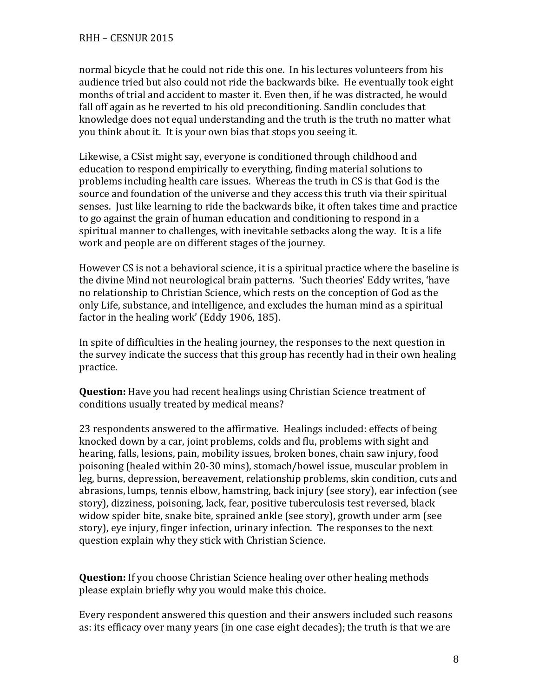normal bicycle that he could not ride this one. In his lectures volunteers from his audience tried but also could not ride the backwards bike. He eventually took eight months of trial and accident to master it. Even then, if he was distracted, he would fall off again as he reverted to his old preconditioning. Sandlin concludes that knowledge does not equal understanding and the truth is the truth no matter what you think about it. It is your own bias that stops you seeing it.

Likewise, a CSist might say, everyone is conditioned through childhood and education to respond empirically to everything, finding material solutions to problems including health care issues. Whereas the truth in CS is that God is the source and foundation of the universe and they access this truth via their spiritual senses. Just like learning to ride the backwards bike, it often takes time and practice to go against the grain of human education and conditioning to respond in a spiritual manner to challenges, with inevitable setbacks along the way. It is a life work and people are on different stages of the journey.

However CS is not a behavioral science, it is a spiritual practice where the baseline is the divine Mind not neurological brain patterns. 'Such theories' Eddy writes, 'have no relationship to Christian Science, which rests on the conception of God as the only Life, substance, and intelligence, and excludes the human mind as a spiritual factor in the healing work' (Eddy 1906, 185).

In spite of difficulties in the healing journey, the responses to the next question in the survey indicate the success that this group has recently had in their own healing practice.

**Question:** Have you had recent healings using Christian Science treatment of conditions usually treated by medical means?

23 respondents answered to the affirmative. Healings included: effects of being knocked down by a car, joint problems, colds and flu, problems with sight and hearing, falls, lesions, pain, mobility issues, broken bones, chain saw injury, food poisoning (healed within 20-30 mins), stomach/bowel issue, muscular problem in leg, burns, depression, bereavement, relationship problems, skin condition, cuts and abrasions, lumps, tennis elbow, hamstring, back injury (see story), ear infection (see story), dizziness, poisoning, lack, fear, positive tuberculosis test reversed, black widow spider bite, snake bite, sprained ankle (see story), growth under arm (see story), eye injury, finger infection, urinary infection. The responses to the next question explain why they stick with Christian Science.

**Question:** If you choose Christian Science healing over other healing methods please explain briefly why you would make this choice.

Every respondent answered this question and their answers included such reasons as: its efficacy over many years (in one case eight decades); the truth is that we are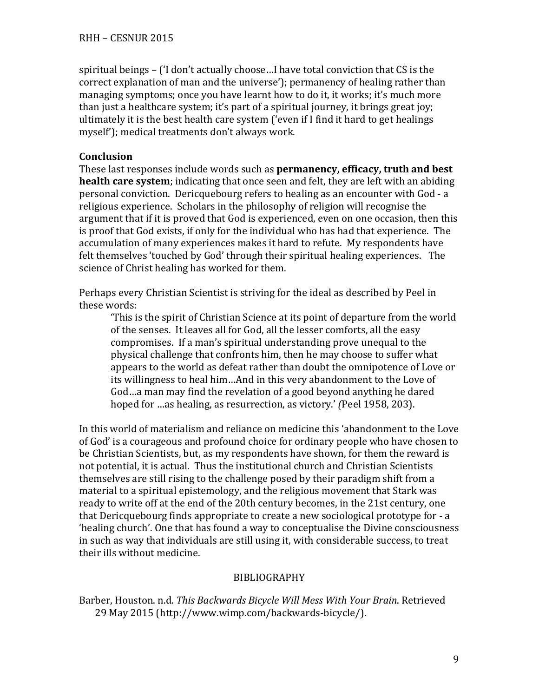spiritual beings – ('I don't actually choose…I have total conviction that CS is the correct explanation of man and the universe'); permanency of healing rather than managing symptoms; once you have learnt how to do it, it works; it's much more than just a healthcare system; it's part of a spiritual journey, it brings great joy; ultimately it is the best health care system ('even if I find it hard to get healings myself'); medical treatments don't always work.

### **Conclusion**

These last responses include words such as **permanency, efficacy, truth and best health care system**; indicating that once seen and felt, they are left with an abiding personal conviction. Dericquebourg refers to healing as an encounter with God - a religious experience. Scholars in the philosophy of religion will recognise the argument that if it is proved that God is experienced, even on one occasion, then this is proof that God exists, if only for the individual who has had that experience. The accumulation of many experiences makes it hard to refute. My respondents have felt themselves 'touched by God' through their spiritual healing experiences. The science of Christ healing has worked for them.

Perhaps every Christian Scientist is striving for the ideal as described by Peel in these words:

'This is the spirit of Christian Science at its point of departure from the world of the senses. It leaves all for God, all the lesser comforts, all the easy compromises. If a man's spiritual understanding prove unequal to the physical challenge that confronts him, then he may choose to suffer what appears to the world as defeat rather than doubt the omnipotence of Love or its willingness to heal him…And in this very abandonment to the Love of God…a man may find the revelation of a good beyond anything he dared hoped for …as healing, as resurrection, as victory.' *(*Peel 1958, 203).

In this world of materialism and reliance on medicine this 'abandonment to the Love of God' is a courageous and profound choice for ordinary people who have chosen to be Christian Scientists, but, as my respondents have shown, for them the reward is not potential, it is actual. Thus the institutional church and Christian Scientists themselves are still rising to the challenge posed by their paradigm shift from a material to a spiritual epistemology, and the religious movement that Stark was ready to write off at the end of the 20th century becomes, in the 21st century, one that Dericquebourg finds appropriate to create a new sociological prototype for - a 'healing church'. One that has found a way to conceptualise the Divine consciousness in such as way that individuals are still using it, with considerable success, to treat their ills without medicine.

### BIBLIOGRAPHY

Barber, Houston. n.d. *This Backwards Bicycle Will Mess With Your Brain*. Retrieved 29 May 2015 (http://www.wimp.com/backwards-bicycle/).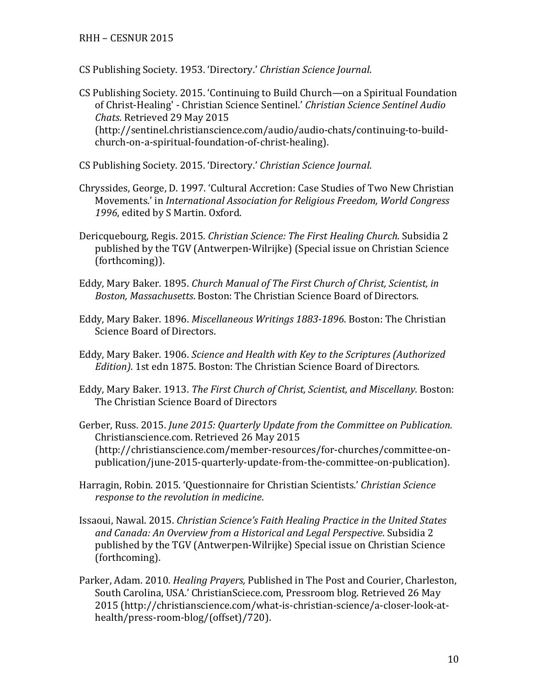#### RHH – CESNUR 2015

- CS Publishing Society. 1953. 'Directory.' *Christian Science Journal*.
- CS Publishing Society. 2015. 'Continuing to Build Church—on a Spiritual Foundation of Christ-Healing' - Christian Science Sentinel.' *Christian Science Sentinel Audio Chats*. Retrieved 29 May 2015 (http://sentinel.christianscience.com/audio/audio-chats/continuing-to-buildchurch-on-a-spiritual-foundation-of-christ-healing).
- CS Publishing Society. 2015. 'Directory.' *Christian Science Journal*.
- Chryssides, George, D. 1997. 'Cultural Accretion: Case Studies of Two New Christian Movements.' in *International Association for Religious Freedom, World Congress 1996*, edited by S Martin. Oxford.
- Dericquebourg, Regis. 2015. *Christian Science: The First Healing Church.* Subsidia 2 published by the TGV (Antwerpen-Wilrijke) (Special issue on Christian Science (forthcoming)).
- Eddy, Mary Baker. 1895. *Church Manual of The First Church of Christ, Scientist, in Boston, Massachusetts*. Boston: The Christian Science Board of Directors.
- Eddy, Mary Baker. 1896. *Miscellaneous Writings 1883-1896*. Boston: The Christian Science Board of Directors.
- Eddy, Mary Baker. 1906. *Science and Health with Key to the Scriptures (Authorized Edition)*. 1st edn 1875. Boston: The Christian Science Board of Directors.
- Eddy, Mary Baker. 1913. *The First Church of Christ, Scientist, and Miscellany*. Boston: The Christian Science Board of Directors
- Gerber, Russ. 2015. *June 2015: Quarterly Update from the Committee on Publication.* Christianscience.com. Retrieved 26 May 2015 (http://christianscience.com/member-resources/for-churches/committee-onpublication/june-2015-quarterly-update-from-the-committee-on-publication).
- Harragin, Robin. 2015. 'Questionnaire for Christian Scientists.' *Christian Science response to the revolution in medicine*.
- Issaoui, Nawal. 2015. *Christian Science's Faith Healing Practice in the United States and Canada: An Overview from a Historical and Legal Perspective*. Subsidia 2 published by the TGV (Antwerpen-Wilrijke) Special issue on Christian Science (forthcoming).
- Parker, Adam. 2010. *Healing Prayers,* Published in The Post and Courier, Charleston, South Carolina, USA.' ChristianSciece.com, Pressroom blog. Retrieved 26 May 2015 (http://christianscience.com/what-is-christian-science/a-closer-look-athealth/press-room-blog/(offset)/720).